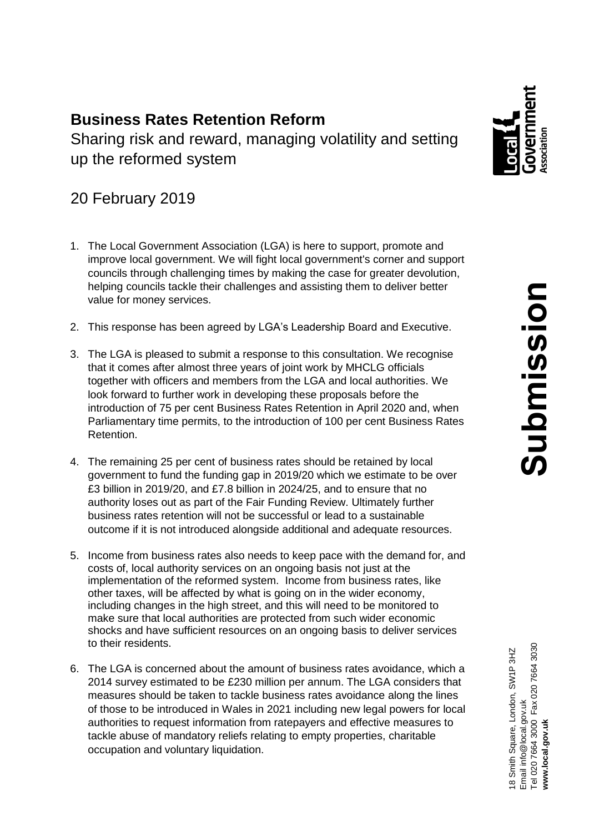# **Business Rates Retention Reform** Sharing risk and reward, managing volatility and setting up the reformed system

# 20 February 2019

- 1. The Local Government Association (LGA) is here to support, promote and improve local government. We will fight local government's corner and support councils through challenging times by making the case for greater devolution, helping councils tackle their challenges and assisting them to deliver better value for money services.
- 2. This response has been agreed by LGA's Leadership Board and Executive.
- 3. The LGA is pleased to submit a response to this consultation. We recognise that it comes after almost three years of joint work by MHCLG officials together with officers and members from the LGA and local authorities. We look forward to further work in developing these proposals before the introduction of 75 per cent Business Rates Retention in April 2020 and, when Parliamentary time permits, to the introduction of 100 per cent Business Rates Retention.
- 4. The remaining 25 per cent of business rates should be retained by local government to fund the funding gap in 2019/20 which we estimate to be over £3 billion in 2019/20, and £7.8 billion in 2024/25, and to ensure that no authority loses out as part of the Fair Funding Review. Ultimately further business rates retention will not be successful or lead to a sustainable outcome if it is not introduced alongside additional and adequate resources.
- 5. Income from business rates also needs to keep pace with the demand for, and costs of, local authority services on an ongoing basis not just at the implementation of the reformed system. Income from business rates, like other taxes, will be affected by what is going on in the wider economy, including changes in the high street, and this will need to be monitored to make sure that local authorities are protected from such wider economic shocks and have sufficient resources on an ongoing basis to deliver services to their residents.
- 6. The LGA is concerned about the amount of business rates avoidance, which a 2014 survey estimated to be £230 million per annum. The LGA considers that measures should be taken to tackle business rates avoidance along the lines of those to be introduced in Wales in 2021 including new legal powers for local authorities to request information from ratepayers and effective measures to tackle abuse of mandatory reliefs relating to empty properties, charitable occupation and voluntary liquidation.

Email info@local.gov.uk<br>Tel 020 7664 3000 Fax 020 7664 3030<br>**www.local.gov.uk** Tel 020 7664 3000 Fax 020 7664 3030 18 Smith Square, London, SW1P 3HZ 18 Smith Square, London, SW1P 3HZ Email info@local.gov.uk **www.local.gov.uk**

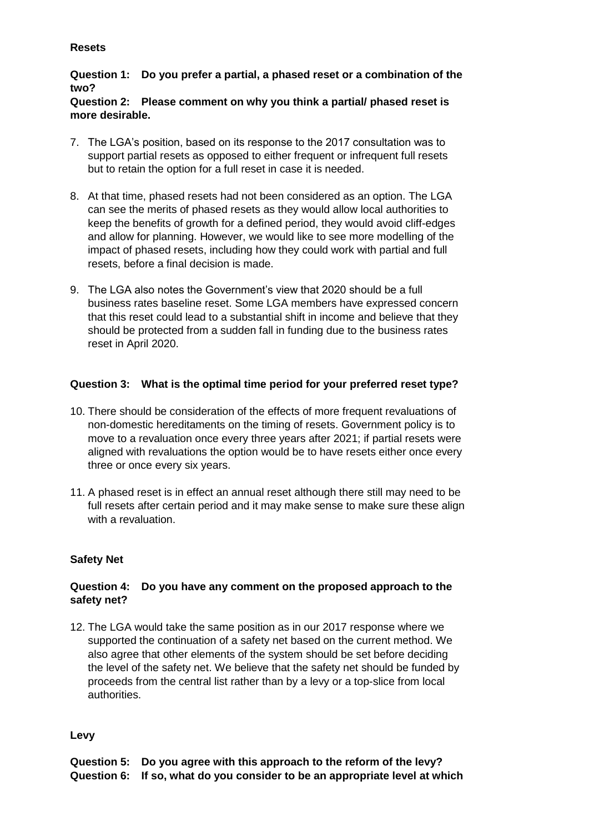## **Resets**

# **Question 1: Do you prefer a partial, a phased reset or a combination of the two?**

## **Question 2: Please comment on why you think a partial/ phased reset is more desirable.**

- 7. The LGA's position, based on its response to the 2017 consultation was to support partial resets as opposed to either frequent or infrequent full resets but to retain the option for a full reset in case it is needed.
- 8. At that time, phased resets had not been considered as an option. The LGA can see the merits of phased resets as they would allow local authorities to keep the benefits of growth for a defined period, they would avoid cliff-edges and allow for planning. However, we would like to see more modelling of the impact of phased resets, including how they could work with partial and full resets, before a final decision is made.
- 9. The LGA also notes the Government's view that 2020 should be a full business rates baseline reset. Some LGA members have expressed concern that this reset could lead to a substantial shift in income and believe that they should be protected from a sudden fall in funding due to the business rates reset in April 2020.

# **Question 3: What is the optimal time period for your preferred reset type?**

- 10. There should be consideration of the effects of more frequent revaluations of non-domestic hereditaments on the timing of resets. Government policy is to move to a revaluation once every three years after 2021; if partial resets were aligned with revaluations the option would be to have resets either once every three or once every six years.
- 11. A phased reset is in effect an annual reset although there still may need to be full resets after certain period and it may make sense to make sure these align with a revaluation.

# **Safety Net**

# **Question 4: Do you have any comment on the proposed approach to the safety net?**

12. The LGA would take the same position as in our 2017 response where we supported the continuation of a safety net based on the current method. We also agree that other elements of the system should be set before deciding the level of the safety net. We believe that the safety net should be funded by proceeds from the central list rather than by a levy or a top-slice from local authorities.

#### **Levy**

| Question 5: Do you agree with this approach to the reform of the levy?      |
|-----------------------------------------------------------------------------|
| Question 6: If so, what do you consider to be an appropriate level at which |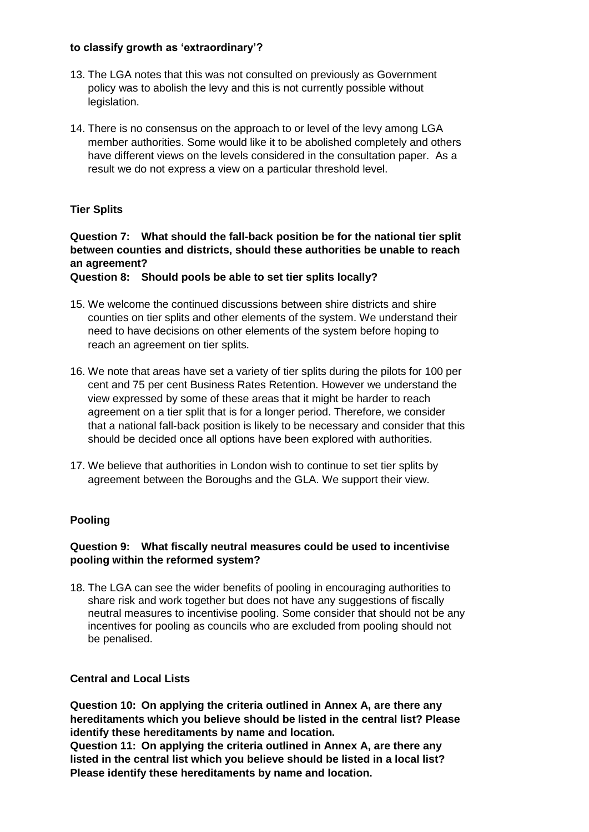### **to classify growth as 'extraordinary'?**

- 13. The LGA notes that this was not consulted on previously as Government policy was to abolish the levy and this is not currently possible without legislation.
- 14. There is no consensus on the approach to or level of the levy among LGA member authorities. Some would like it to be abolished completely and others have different views on the levels considered in the consultation paper. As a result we do not express a view on a particular threshold level.

## **Tier Splits**

**Question 7: What should the fall-back position be for the national tier split between counties and districts, should these authorities be unable to reach an agreement?** 

**Question 8: Should pools be able to set tier splits locally?**

- 15. We welcome the continued discussions between shire districts and shire counties on tier splits and other elements of the system. We understand their need to have decisions on other elements of the system before hoping to reach an agreement on tier splits.
- 16. We note that areas have set a variety of tier splits during the pilots for 100 per cent and 75 per cent Business Rates Retention. However we understand the view expressed by some of these areas that it might be harder to reach agreement on a tier split that is for a longer period. Therefore, we consider that a national fall-back position is likely to be necessary and consider that this should be decided once all options have been explored with authorities.
- 17. We believe that authorities in London wish to continue to set tier splits by agreement between the Boroughs and the GLA. We support their view.

#### **Pooling**

## **Question 9: What fiscally neutral measures could be used to incentivise pooling within the reformed system?**

18. The LGA can see the wider benefits of pooling in encouraging authorities to share risk and work together but does not have any suggestions of fiscally neutral measures to incentivise pooling. Some consider that should not be any incentives for pooling as councils who are excluded from pooling should not be penalised.

#### **Central and Local Lists**

**Question 10: On applying the criteria outlined in Annex A, are there any hereditaments which you believe should be listed in the central list? Please identify these hereditaments by name and location.**

**Question 11: On applying the criteria outlined in Annex A, are there any listed in the central list which you believe should be listed in a local list? Please identify these hereditaments by name and location.**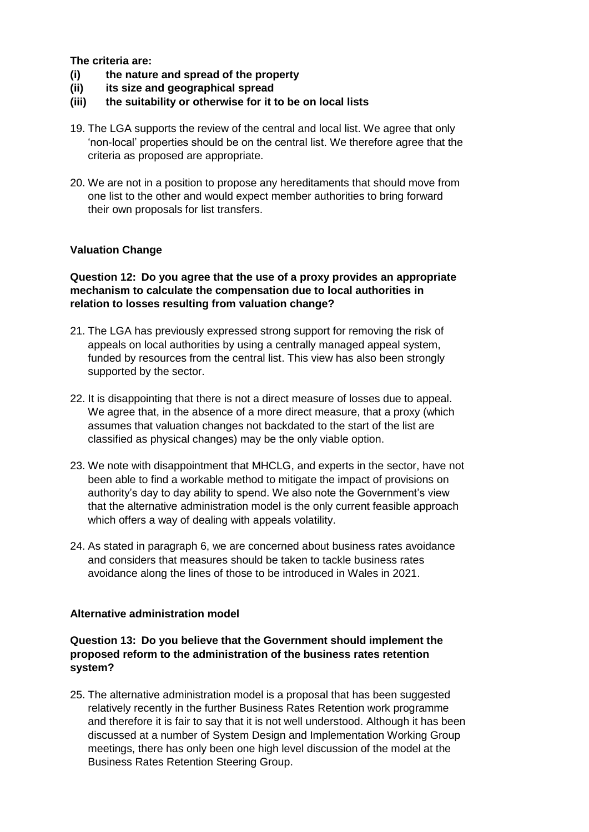**The criteria are:**

- **(i) the nature and spread of the property**
- **(ii) its size and geographical spread**
- **(iii) the suitability or otherwise for it to be on local lists**
- 19. The LGA supports the review of the central and local list. We agree that only 'non-local' properties should be on the central list. We therefore agree that the criteria as proposed are appropriate.
- 20. We are not in a position to propose any hereditaments that should move from one list to the other and would expect member authorities to bring forward their own proposals for list transfers.

#### **Valuation Change**

#### **Question 12: Do you agree that the use of a proxy provides an appropriate mechanism to calculate the compensation due to local authorities in relation to losses resulting from valuation change?**

- 21. The LGA has previously expressed strong support for removing the risk of appeals on local authorities by using a centrally managed appeal system, funded by resources from the central list. This view has also been strongly supported by the sector.
- 22. It is disappointing that there is not a direct measure of losses due to appeal. We agree that, in the absence of a more direct measure, that a proxy (which assumes that valuation changes not backdated to the start of the list are classified as physical changes) may be the only viable option.
- 23. We note with disappointment that MHCLG, and experts in the sector, have not been able to find a workable method to mitigate the impact of provisions on authority's day to day ability to spend. We also note the Government's view that the alternative administration model is the only current feasible approach which offers a way of dealing with appeals volatility.
- 24. As stated in paragraph 6, we are concerned about business rates avoidance and considers that measures should be taken to tackle business rates avoidance along the lines of those to be introduced in Wales in 2021.

#### **Alternative administration model**

#### **Question 13: Do you believe that the Government should implement the proposed reform to the administration of the business rates retention system?**

25. The alternative administration model is a proposal that has been suggested relatively recently in the further Business Rates Retention work programme and therefore it is fair to say that it is not well understood. Although it has been discussed at a number of System Design and Implementation Working Group meetings, there has only been one high level discussion of the model at the Business Rates Retention Steering Group.